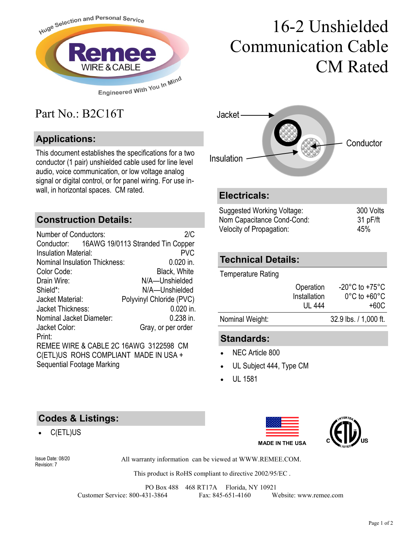

# 16-2 Unshielded Communication Cable CM Rated

## Part No.: B2C16T

### **Applications:**

This document establishes the specifications for a two conductor (1 pair) unshielded cable used for line level audio, voice communication, or low voltage analog signal or digital control, or for panel wiring. For use inwall, in horizontal spaces. CM rated. **Electricals:** 

#### **Construction Details:**

| <b>Number of Conductors:</b>                 | 2/C                      |
|----------------------------------------------|--------------------------|
| Conductor: 16AWG 19/0113 Stranded Tin Copper |                          |
| <b>Insulation Material:</b>                  | <b>PVC</b>               |
| <b>Nominal Insulation Thickness:</b>         | $0.020$ in.              |
| Color Code:                                  | <b>Black, White</b>      |
| Drain Wire:                                  | N/A-Unshielded           |
| Shield*:                                     | N/A-Unshielded           |
| Jacket Material:                             | Polyvinyl Chloride (PVC) |
| Jacket Thickness:                            | $0.020$ in.              |
| Nominal Jacket Diameter:                     | $0.238$ in.              |
| Jacket Color:                                | Gray, or per order       |
| Print:                                       |                          |
| REMEE WIRE & CABLE 2C 16AWG 3122598 CM       |                          |
| C(ETL)US ROHS COMPLIANT MADE IN USA +        |                          |
| Sequential Footage Marking                   |                          |



| Suggested Working Voltage: | 300 Volts |
|----------------------------|-----------|
| Nom Capacitance Cond-Cond: | 31 pF/ft  |
| Velocity of Propagation:   | 45%       |

#### **Technical Details:**

Temperature Rating

|                 | Operation<br>Installation | $-20^{\circ}$ C to $+75^{\circ}$ C<br>$0^{\circ}$ C to +60 $^{\circ}$ C |
|-----------------|---------------------------|-------------------------------------------------------------------------|
|                 | UL 444                    | +60C                                                                    |
| Nominal Weight: |                           | 32.9 lbs. / 1,000 ft.                                                   |
|                 |                           |                                                                         |

#### **Standards:**

- NEC Article 800
- UL Subject 444, Type CM
- UL 1581

#### **Codes & Listings:**

C(ETL)US





Revision: 7

Issue Date: 08/20 All warranty information can be viewed at WWW.REMEE.COM.

This product is RoHS compliant to directive 2002/95/EC .

PO Box 488 468 RT17A Florida, NY 10921 Customer Service: 800-431-3864 Fax: 845-651-4160 Website: www.remee.com